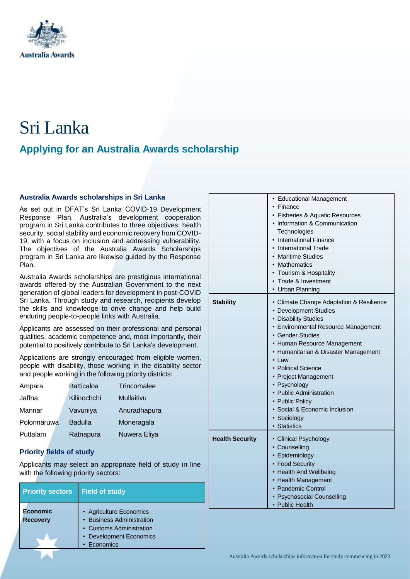

# Sri Lanka

# **Applying for an Australia Awards scholarship**

#### **Australia Awards scholarships in Sri Lanka**

As set out in DFAT's Sri Lanka COVID-19 Development Response Plan, Australia's development cooperation program in Sri Lanka contributes to three objectives: health security, social stability and economic recovery from COVID-19, with a focus on inclusion and addressing vulnerability. The objectives of the Australia Awards Scholarships program in Sri Lanka are likewise guided by the Response Plan.

Australia Awards scholarships are prestigious international awards offered by the Australian Government to the next generation of global leaders for development in post-COVID Sri Lanka. Through study and research, recipients develop the skills and knowledge to drive change and help build enduring people-to-people links with Australia.

Applicants are assessed on their professional and personal qualities, academic competence and, most importantly, their potential to positively contribute to Sri Lanka's development.

Applications are strongly encouraged from eligible women, people with disability, those working in the disability sector and people working in the following priority districts:

| Ampara      | <b>Batticaloa</b> | Trincomalee       |
|-------------|-------------------|-------------------|
| Jaffna      | Kilinochchi       | <b>Mullaitivu</b> |
| Mannar      | Vavuniya          | Anuradhapura      |
| Polonnaruwa | <b>Badulla</b>    | Moneragala        |
| Puttalam    | Ratnapura         | Nuwera Eliya      |

# **Priority fields of study**

Applicants may select an appropriate field of study in line with the following priority sectors:

| <b>Priority sectors</b>     | <b>Field of study</b>                                                                                       |
|-----------------------------|-------------------------------------------------------------------------------------------------------------|
| Economic<br><b>Recovery</b> | • Agriculture Economics<br>• Business Administration<br>• Customs Administration<br>• Development Economics |
|                             | Economics                                                                                                   |

|                        | • Educational Management<br>Finance<br>Fisheries & Aquatic Resources<br>• Information & Communication<br>Technologies<br><b>International Finance</b><br><b>International Trade</b><br><b>Maritime Studies</b><br>Mathematics<br>• Tourism & Hospitality<br>Trade & Investment<br>• Urban Planning                                                                                                                |
|------------------------|-------------------------------------------------------------------------------------------------------------------------------------------------------------------------------------------------------------------------------------------------------------------------------------------------------------------------------------------------------------------------------------------------------------------|
| <b>Stability</b>       | • Climate Change Adaptation & Resilience<br>• Development Studies<br>• Disability Studies<br>• Environmental Resource Management<br>• Gender Studies<br>• Human Resource Management<br>• Humanitarian & Disaster Management<br>• Law<br>• Political Science<br>• Project Management<br>• Psychology<br>• Public Administration<br>• Public Policy<br>· Social & Economic Inclusion<br>• Sociology<br>· Statistics |
| <b>Health Security</b> | • Clinical Psychology<br>• Counselling<br>• Epidemiology<br>• Food Security<br>• Health And Wellbeing<br>• Health Management<br>• Pandemic Control<br><b>Psychosocial Counselling</b><br>• Public Health                                                                                                                                                                                                          |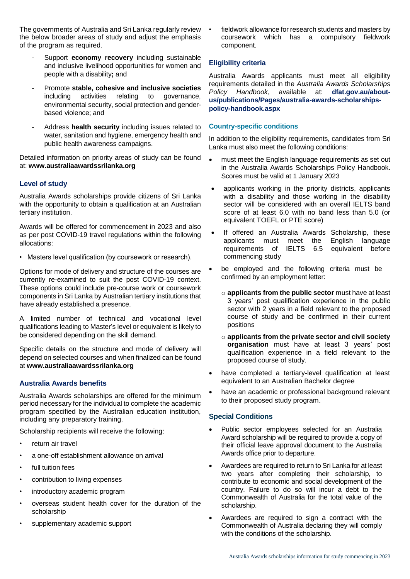The governments of Australia and Sri Lanka regularly review the below broader areas of study and adjust the emphasis of the program as required.

- Support **economy recovery** including sustainable and inclusive livelihood opportunities for women and people with a disability**;** and
- Promote **stable, cohesive and inclusive societies** including activities relating to governance, environmental security, social protection and genderbased violence; and
- Address **health security** including issues related to water, sanitation and hygiene, emergency health and public health awareness campaigns.

Detailed information on priority areas of study can be found at: **[www.australiaawardssrilanka.org](http://www.australiaawardssrilanka.org/)**

# **Level of study**

Australia Awards scholarships provide citizens of Sri Lanka with the opportunity to obtain a qualification at an Australian tertiary institution.

Awards will be offered for commencement in 2023 and also as per post COVID-19 travel regulations within the following allocations:

• Masters level qualification (by coursework or research).

Options for mode of delivery and structure of the courses are currently re-examined to suit the post COVID-19 context. These options could include pre-course work or coursework components in Sri Lanka by Australian tertiary institutions that have already established a presence.

A limited number of technical and vocational level qualifications leading to Master's level or equivalent is likely to be considered depending on the skill demand.

Specific details on the structure and mode of delivery will depend on selected courses and when finalized can be found at **[www.australiaawardssrilanka.org](http://www.australiaawardssrilanka.org/)**

### **Australia Awards benefits**

Australia Awards scholarships are offered for the minimum period necessary for the individual to complete the academic program specified by the Australian education institution, including any preparatory training.

Scholarship recipients will receive the following:

- return air travel
- a one-off establishment allowance on arrival
- full tuition fees
- contribution to living expenses
- introductory academic program
- overseas student health cover for the duration of the scholarship
- supplementary academic support

• fieldwork allowance for research students and masters by coursework which has a compulsory fieldwork component.

#### **Eligibility criteria**

Australia Awards applicants must meet all eligibility requirements detailed in the *Australia Awards Scholarships Policy Handbook*, available at: **[dfat.gov.au/about](http://dfat.gov.au/about-us/publications/Pages/australia-awards-scholarships-policy-handbook.aspx)[us/publications/Pages/australia-awards-scholarships](http://dfat.gov.au/about-us/publications/Pages/australia-awards-scholarships-policy-handbook.aspx)[policy-handbook.aspx](http://dfat.gov.au/about-us/publications/Pages/australia-awards-scholarships-policy-handbook.aspx)**

#### **Country-specific conditions**

In addition to the eligibility requirements, candidates from Sri Lanka must also meet the following conditions:

- must meet the English language requirements as set out in the Australia Awards Scholarships Policy Handbook. Scores must be valid at 1 January 2023
- applicants working in the priority districts, applicants with a disability and those working in the disability sector will be considered with an overall IELTS band score of at least 6.0 with no band less than 5.0 (or equivalent TOEFL or PTE score)
- If offered an Australia Awards Scholarship, these applicants must meet the English language requirements of IELTS 6.5 equivalent before commencing study
- be employed and the following criteria must be confirmed by an employment letter:
	- o **applicants from the public sector** must have at least 3 years' post qualification experience in the public sector with 2 years in a field relevant to the proposed course of study and be confirmed in their current positions
	- o **applicants from the private sector and civil society organisation** must have at least 3 years' post qualification experience in a field relevant to the proposed course of study.
- have completed a tertiary-level qualification at least equivalent to an Australian Bachelor degree
- have an academic or professional background relevant to their proposed study program.

#### **Special Conditions**

- Public sector employees selected for an Australia Award scholarship will be required to provide a copy of their official leave approval document to the Australia Awards office prior to departure.
- Awardees are required to return to Sri Lanka for at least two years after completing their scholarship, to contribute to economic and social development of the country. Failure to do so will incur a debt to the Commonwealth of Australia for the total value of the scholarship.
- Awardees are required to sign a contract with the Commonwealth of Australia declaring they will comply with the conditions of the scholarship.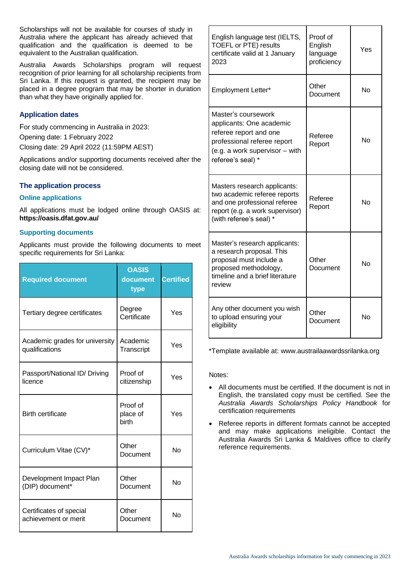Scholarships will not be available for courses of study in Australia where the applicant has already achieved that qualification and the qualification is deemed to be equivalent to the Australian qualification.

Australia Awards Scholarships program will request recognition of prior learning for all scholarship recipients from Sri Lanka. If this request is granted, the recipient may be placed in a degree program that may be shorter in duration than what they have originally applied for.

# **Application dates**

For study commencing in Australia in 2023:

Opening date: 1 February 2022

Closing date: 29 April 2022 (11:59PM AEST)

Applications and/or supporting documents received after the closing date will not be considered.

# **The application process**

#### **Online applications**

All applications must be lodged online through OASIS at: **<https://oasis.dfat.gov.au/>**

#### **Supporting documents**

Applicants must provide the following documents to meet specific requirements for Sri Lanka:

| <b>Required document</b>                         | <b>OASIS</b><br>document<br>type | <b>Certified</b> |
|--------------------------------------------------|----------------------------------|------------------|
| Tertiary degree certificates                     | Degree<br>Certificate            | Yes              |
| Academic grades for university<br>qualifications | Academic<br>Transcript           | Yes              |
| Passport/National ID/ Driving<br>licence         | Proof of<br>citizenship          | Yes              |
| <b>Birth certificate</b>                         | Proof of<br>place of<br>birth    | Yes              |
| Curriculum Vitae (CV)*                           | Other<br>Document                | Nο               |
| Development Impact Plan<br>(DIP) document*       | Other<br>Document                | Nο               |
| Certificates of special<br>achievement or merit  | Other<br>Document                | No               |

| English language test (IELTS,<br><b>TOEFL or PTE) results</b><br>certificate valid at 1 January<br>2023                                                         | Proof of<br>English<br>language<br>proficiency | Yes |
|-----------------------------------------------------------------------------------------------------------------------------------------------------------------|------------------------------------------------|-----|
| Employment Letter*                                                                                                                                              | Other<br>Document                              | No  |
| Master's coursework<br>applicants: One academic<br>referee report and one<br>professional referee report<br>(e.g. a work supervisor - with<br>referee's seal) * | Referee<br>Report                              | No  |
| Masters research applicants:<br>two academic referee reports<br>and one professional referee<br>report (e.g. a work supervisor)<br>(with referee's seal) *      | Referee<br>Report                              | No  |
| Master's research applicants:<br>a research proposal. This<br>proposal must include a<br>proposed methodology,<br>timeline and a brief literature<br>review     | Other<br>Document                              | No  |
| Any other document you wish<br>to upload ensuring your<br>eligibility                                                                                           | Other<br>Document                              | No  |

\*Template available at: www.austrailaawardssrilanka.org

Notes:

- All documents must be certified. If the document is not in English, the translated copy must be certified. See the *Australia Awards Scholarships Policy Handbook* for certification requirements
- Referee reports in different formats cannot be accepted and may make applications ineligible. Contact the Australia Awards Sri Lanka & Maldives office to clarify reference requirements.